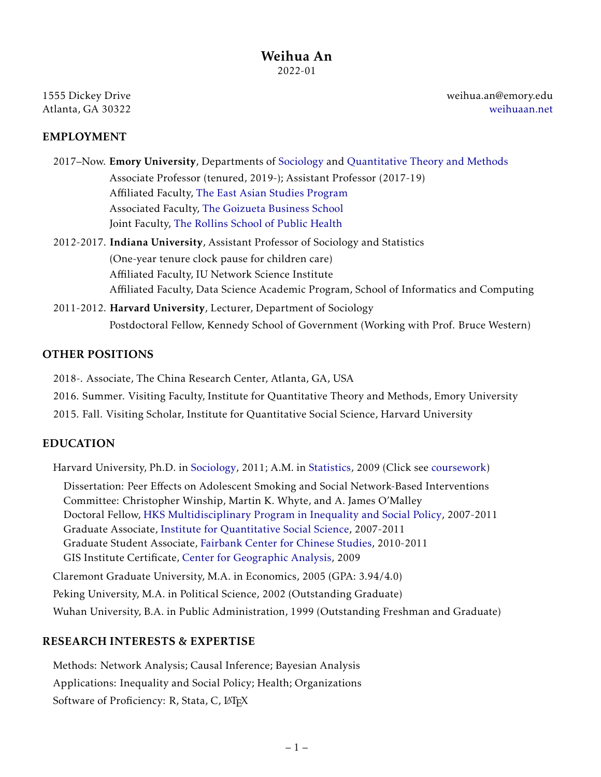1555 Dickey Drive Atlanta, GA 30322

weihua.an@emory.edu [weihuaan.net](www.weihuaan.net)

### EMPLOYMENT

2017–Now. Emory University, Departments of [Sociology](http://sociology.emory.edu/home/index.html) and [Quantitative Theory and Methods](http://quantitative.emory.edu/) Associate Professor (tenured, 2019-); Assistant Professor (2017-19) Affiliated Faculty, [The East Asian Studies Program](http://eastasianstudies.emory.edu) Associated Faculty, [The Goizueta Business School](https://goizueta.emory.edu/) Joint Faculty, [The Rollins School of Public Health](https://www.sph.emory.edu/departments/bshe/index.html)

- 2012-2017. Indiana University, Assistant Professor of Sociology and Statistics (One-year tenure clock pause for children care) Affiliated Faculty, IU Network Science Institute Affiliated Faculty, Data Science Academic Program, School of Informatics and Computing
- 2011-2012. Harvard University, Lecturer, Department of Sociology Postdoctoral Fellow, Kennedy School of Government (Working with Prof. Bruce Western)

## OTHER POSITIONS

2018-. Associate, The China Research Center, Atlanta, GA, USA

2016. Summer. Visiting Faculty, Institute for Quantitative Theory and Methods, Emory University

2015. Fall. Visiting Scholar, Institute for Quantitative Social Science, Harvard University

### EDUCATION

Harvard University, Ph.D. in [Sociology,](https://sociology.fas.harvard.edu/) 2011; A.M. in [Statistics,](https://statistics.fas.harvard.edu/) 2009 (Click see [coursework\)](https://sites.google.com/view/weihuaan/courses)

Dissertation: Peer Effects on Adolescent Smoking and Social Network-Based Interventions Committee: Christopher Winship, Martin K. Whyte, and A. James O'Malley Doctoral Fellow, [HKS Multidisciplinary Program in Inequality and Social Policy,](https://inequality.hks.harvard.edu/) 2007-2011 Graduate Associate, [Institute for Quantitative Social Science,](http://www.iq.harvard.edu/) 2007-2011 Graduate Student Associate, [Fairbank Center for Chinese Studies,](http://fairbank.fas.harvard.edu/home) 2010-2011 GIS Institute Certificate, [Center for Geographic Analysis,](http://gis.harvard.edu/) 2009

Claremont Graduate University, M.A. in Economics, 2005 (GPA: 3.94/4.0)

Peking University, M.A. in Political Science, 2002 (Outstanding Graduate)

Wuhan University, B.A. in Public Administration, 1999 (Outstanding Freshman and Graduate)

### RESEARCH INTERESTS & EXPERTISE

Methods: Network Analysis; Causal Inference; Bayesian Analysis Applications: Inequality and Social Policy; Health; Organizations Software of Proficiency: R, Stata, C, LATEX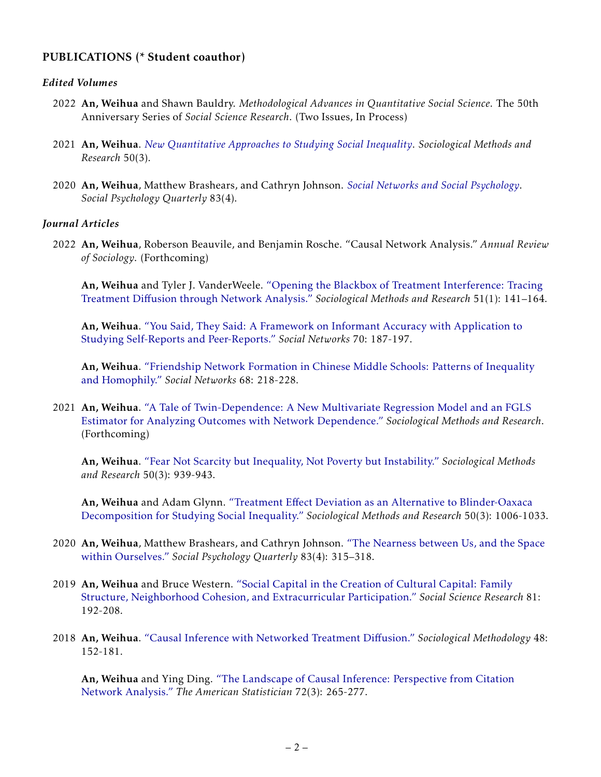# PUBLICATIONS (\* Student coauthor)

#### *Edited Volumes*

- 2022 An, Weihua and Shawn Bauldry. *Methodological Advances in Quantitative Social Science*. The 50th Anniversary Series of *Social Science Research*. (Two Issues, In Process)
- 2021 An, Weihua. *[New Quantitative Approaches to Studying Social Inequality](https://journals.sagepub.com/toc/smra/50/3)*. *Sociological Methods and Research* 50(3).
- 2020 An, Weihua, Matthew Brashears, and Cathryn Johnson. *[Social Networks and Social Psychology](https://journals.sagepub.com/toc/spqc/83/4)*. *Social Psychology Quarterly* 83(4).

#### *Journal Articles*

2022 An, Weihua, Roberson Beauvile, and Benjamin Rosche. "Causal Network Analysis." *Annual Review of Sociology*. (Forthcoming)

An, Weihua and Tyler J. VanderWeele. ["Opening the Blackbox of Treatment Interference: Tracing](https://journals.sagepub.com/doi/abs/10.1177/0049124119852384?journalCode=smra) Treatment Diff[usion through Network Analysis."](https://journals.sagepub.com/doi/abs/10.1177/0049124119852384?journalCode=smra) *Sociological Methods and Research* 51(1): 141–164.

An, Weihua. ["You Said, They Said: A Framework on Informant Accuracy with Application to](https://www.sciencedirect.com/science/article/pii/S0378873321001155?dgcid=author) [Studying Self-Reports and Peer-Reports."](https://www.sciencedirect.com/science/article/pii/S0378873321001155?dgcid=author) *Social Networks* 70: 187-197.

An, Weihua. ["Friendship Network Formation in Chinese Middle Schools: Patterns of Inequality](https://www.sciencedirect.com/science/article/pii/S0378873321000599?dgcid=author) [and Homophily."](https://www.sciencedirect.com/science/article/pii/S0378873321000599?dgcid=author) *Social Networks* 68: 218-228.

2021 An, Weihua. ["A Tale of Twin-Dependence: A New Multivariate Regression Model and an FGLS](https://journals.sagepub.com/doi/10.1177/00491241211031263) [Estimator for Analyzing Outcomes with Network Dependence."](https://journals.sagepub.com/doi/10.1177/00491241211031263) *Sociological Methods and Research*. (Forthcoming)

An, Weihua. ["Fear Not Scarcity but Inequality, Not Poverty but Instability."](https://journals.sagepub.com/doi/10.1177/00491241211024295) *Sociological Methods and Research* 50(3): 939-943.

An, Weihua and Adam Glynn. "Treatment Eff[ect Deviation as an Alternative to Blinder-Oaxaca](https://journals.sagepub.com/doi/abs/10.1177/0049124119852387?journalCode=smra) [Decomposition for Studying Social Inequality."](https://journals.sagepub.com/doi/abs/10.1177/0049124119852387?journalCode=smra) *Sociological Methods and Research* 50(3): 1006-1033.

- 2020 An, Weihua, Matthew Brashears, and Cathryn Johnson. ["The Nearness between Us, and the Space](https://journals.sagepub.com/doi/full/10.1177/0190272520973654) [within Ourselves."](https://journals.sagepub.com/doi/full/10.1177/0190272520973654) *Social Psychology Quarterly* 83(4): 315–318.
- 2019 An, Weihua and Bruce Western. ["Social Capital in the Creation of Cultural Capital: Family](https://www.sciencedirect.com/science/article/pii/S0049089X18307117) [Structure, Neighborhood Cohesion, and Extracurricular Participation."](https://www.sciencedirect.com/science/article/pii/S0049089X18307117) *Social Science Research* 81: 192-208.
- 2018 An, Weihua. ["Causal Inference with Networked Treatment Di](http://journals.sagepub.com/doi/10.1177/0081175018785216)ffusion." *Sociological Methodology* 48: 152-181.

An, Weihua and Ying Ding. ["The Landscape of Causal Inference: Perspective from Citation](https://doi.org/10.1080/00031305.2017.1360794) [Network Analysis."](https://doi.org/10.1080/00031305.2017.1360794) *The American Statistician* 72(3): 265-277.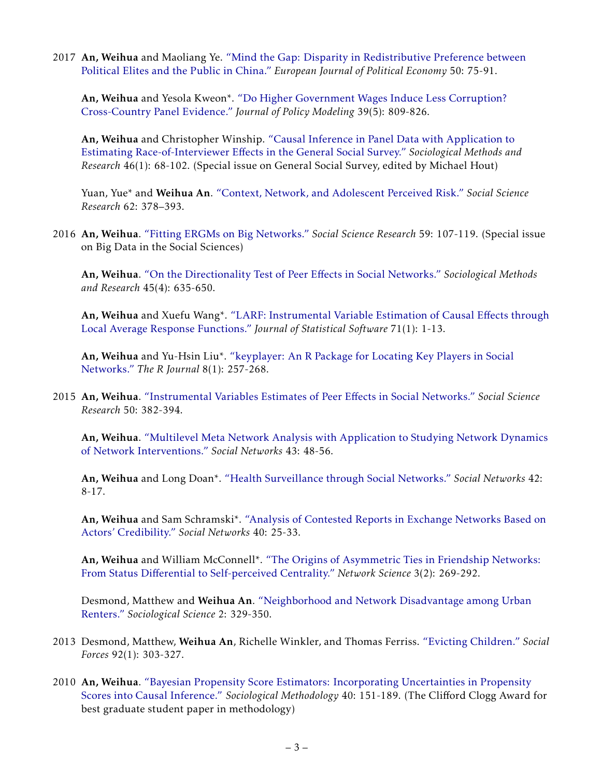2017 An, Weihua and Maoliang Ye. ["Mind the Gap: Disparity in Redistributive Preference between](http://www.sciencedirect.com/science/article/pii/S0176268016302178) [Political Elites and the Public in China."](http://www.sciencedirect.com/science/article/pii/S0176268016302178) *European Journal of Political Economy* 50: 75-91.

An, Weihua and Yesola Kweon\*. ["Do Higher Government Wages Induce Less Corruption?](http://www.sciencedirect.com/science/article/pii/S0161893817300194) [Cross-Country Panel Evidence."](http://www.sciencedirect.com/science/article/pii/S0161893817300194) *Journal of Policy Modeling* 39(5): 809-826.

An, Weihua and Christopher Winship. ["Causal Inference in Panel Data with Application to](http://journals.sagepub.com/doi/abs/10.1177/0049124115600614) Estimating Race-of-Interviewer Eff[ects in the General Social Survey."](http://journals.sagepub.com/doi/abs/10.1177/0049124115600614) *Sociological Methods and Research* 46(1): 68-102. (Special issue on General Social Survey, edited by Michael Hout)

Yuan, Yue\* and Weihua An. ["Context, Network, and Adolescent Perceived Risk."](http://www.sciencedirect.com/science/article/pii/S0049089X15300259) *Social Science Research* 62: 378–393.

2016 An, Weihua. ["Fitting ERGMs on Big Networks."](http://www.sciencedirect.com/science/article/pii/S0049089X16302204) *Social Science Research* 59: 107-119. (Special issue on Big Data in the Social Sciences)

An, Weihua. ["On the Directionality Test of Peer E](http://smr.sagepub.com/content/45/4/635)ffects in Social Networks." *Sociological Methods and Research* 45(4): 635-650.

An, Weihua and Xuefu Wang\*. ["LARF: Instrumental Variable Estimation of Causal E](https://www.jstatsoft.org/article/view/v071c01)ffects through [Local Average Response Functions."](https://www.jstatsoft.org/article/view/v071c01) *Journal of Statistical Software* 71(1): 1-13.

An, Weihua and Yu-Hsin Liu\*. ["keyplayer: An R Package for Locating Key Players in Social](https://journal.r-project.org/archive/2016-1/an-liu.pdf) [Networks."](https://journal.r-project.org/archive/2016-1/an-liu.pdf) *The R Journal* 8(1): 257-268.

2015 An, Weihua. ["Instrumental Variables Estimates of Peer E](http://www.sciencedirect.com/science/article/pii/S0049089X14001665)ffects in Social Networks." *Social Science Research* 50: 382-394.

An, Weihua. ["Multilevel Meta Network Analysis with Application to Studying Network Dynamics](http://www.sciencedirect.com/science/article/pii/S0378873315000258) [of Network Interventions."](http://www.sciencedirect.com/science/article/pii/S0378873315000258) *Social Networks* 43: 48-56.

An, Weihua and Long Doan\*. ["Health Surveillance through Social Networks."](http://www.sciencedirect.com/science/article/pii/S0378873315000064) *Social Networks* 42: 8-17.

An, Weihua and Sam Schramski\*. ["Analysis of Contested Reports in Exchange Networks Based on](http://www.sciencedirect.com/science/article/pii/S0378873314000446) [Actors' Credibility."](http://www.sciencedirect.com/science/article/pii/S0378873314000446) *Social Networks* 40: 25-33.

An, Weihua and William McConnell\*. ["The Origins of Asymmetric Ties in Friendship Networks:](http://journals.cambridge.org/action/displayAbstract?fromPage=online&aid=9699975&fileId=S2050124215000120) From Status Diff[erential to Self-perceived Centrality."](http://journals.cambridge.org/action/displayAbstract?fromPage=online&aid=9699975&fileId=S2050124215000120) *Network Science* 3(2): 269-292.

Desmond, Matthew and Weihua An. ["Neighborhood and Network Disadvantage among Urban](https://www.sociologicalscience.com/articles-v2-16-239/) [Renters."](https://www.sociologicalscience.com/articles-v2-16-239/) *Sociological Science* 2: 329-350.

- 2013 Desmond, Matthew, Weihua An, Richelle Winkler, and Thomas Ferriss. ["Evicting Children."](http://sf.oxfordjournals.org/content/92/1/303) *Social Forces* 92(1): 303-327.
- 2010 An, Weihua. ["Bayesian Propensity Score Estimators: Incorporating Uncertainties in Propensity](http://onlinelibrary.wiley.com/doi/10.1111/j.1467-9531.2010.01226.x/abstract) [Scores into Causal Inference."](http://onlinelibrary.wiley.com/doi/10.1111/j.1467-9531.2010.01226.x/abstract) *Sociological Methodology* 40: 151-189. (The Clifford Clogg Award for best graduate student paper in methodology)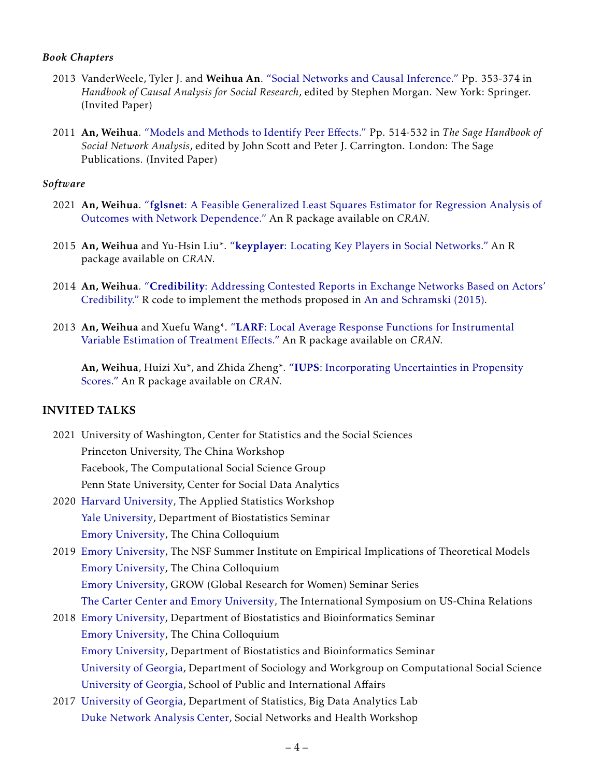### *Book Chapters*

- 2013 VanderWeele, Tyler J. and Weihua An. ["Social Networks and Causal Inference."](https://drive.google.com/open?id=0B3uDUenReAI4dzZQazhmVE5fQXM) Pp. 353-374 in *Handbook of Causal Analysis for Social Research*, edited by Stephen Morgan. New York: Springer. (Invited Paper)
- 2011 An, Weihua. ["Models and Methods to Identify Peer E](https://drive.google.com/open?id=0B3uDUenReAI4cTg4Z2tFT0hILU0)ffects." Pp. 514-532 in *The Sage Handbook of Social Network Analysis*, edited by John Scott and Peter J. Carrington. London: The Sage Publications. (Invited Paper)

#### *Software*

- 2021 An, Weihua. "fglsnet[: A Feasible Generalized Least Squares Estimator for Regression Analysis of](https://cran.r-project.org/web/packages/fglsnet/index.html) [Outcomes with Network Dependence."](https://cran.r-project.org/web/packages/fglsnet/index.html) An R package available on *CRAN*.
- 2015 An, Weihua and Yu-Hsin Liu\*. "keyplayer[: Locating Key Players in Social Networks."](https://cran.r-project.org/web/packages/keyplayer/index.html) An R package available on *CRAN*.
- 2014 An, Weihua. "Credibility[: Addressing Contested Reports in Exchange Networks Based on Actors'](https://drive.google.com/open?id=16Bh8vZzR1NtDSJMuq8fpi6KPp1W9fUCv) [Credibility."](https://drive.google.com/open?id=16Bh8vZzR1NtDSJMuq8fpi6KPp1W9fUCv) R code to implement the methods proposed in [An and Schramski \(2015\).](http://www.sciencedirect.com/science/article/pii/S0378873314000446)
- 2013 An, Weihua and Xuefu Wang\*. "LARF[: Local Average Response Functions for Instrumental](https://cran.r-project.org/web/packages/LARF/) [Variable Estimation of Treatment E](https://cran.r-project.org/web/packages/LARF/)ffects." An R package available on *CRAN*.

An, Weihua, Huizi Xu\*, and Zhida Zheng\*. "IUPS[: Incorporating Uncertainties in Propensity](http://cran.r-project.org/web/packages/IUPS/index.html) [Scores."](http://cran.r-project.org/web/packages/IUPS/index.html) An R package available on *CRAN*.

## INVITED TALKS

- 2021 University of Washington, Center for Statistics and the Social Sciences Princeton University, The China Workshop Facebook, The Computational Social Science Group Penn State University, Center for Social Data Analytics
- 2020 [Harvard University,](https://photos.app.goo.gl/w4kTj4eJCbejK5Us7) The Applied Statistics Workshop [Yale University,](https://photos.app.goo.gl/JQRCU1WZFAzNpsqV9) Department of Biostatistics Seminar [Emory University,](https://photos.app.goo.gl/9sdRXYFLspC7xj7M9) The China Colloquium
- 2019 [Emory University,](http://eitm.emory.edu/index.html) The NSF Summer Institute on Empirical Implications of Theoretical Models [Emory University,](https://drive.google.com/file/d/1ftucjnV8_Qrq4H6UaPPA3_RE8fzmLAJV/view?usp=sharing) The China Colloquium [Emory University,](https://drive.google.com/open?id=1sXsUgM_iptuRnQRqsGoDi0OPopw0c8kn) GROW (Global Research for Women) Seminar Series [The Carter Center and Emory University,](https://drive.google.com/open?id=1ESYZuh3Ny07F6372Kqlxn_IfL_JklMjw) The International Symposium on US-China Relations
- 2018 [Emory University,](https://drive.google.com/open?id=1llif11N3gN1zBukP9CS8CumiL3IiL0My) Department of Biostatistics and Bioinformatics Seminar [Emory University,](https://drive.google.com/open?id=1Fkk9m-2BrvB85aJAuVuMlGVecbWq7dNZ) The China Colloquium [Emory University,](https://drive.google.com/file/d/1XGgHRqhgu6V914-PgqsGERebWD0vv987/view?usp=sharing) Department of Biostatistics and Bioinformatics Seminar [University of Georgia,](https://drive.google.com/open?id=0B3uDUenReAI4a3NwRFNSQWlVankyQU9pMUgwemk3ZUxGVEhn) Department of Sociology and Workgroup on Computational Social Science [University of Georgia,](https://drive.google.com/open?id=0B3uDUenReAI4QzFQM3JjMWp3SUxVS2R4TUhTWXRNblFaNVVF) School of Public and International Affairs
- 2017 [University of Georgia,](https://drive.google.com/open?id=0B3uDUenReAI4S0JaVUo5SzU2RUE) Department of Statistics, Big Data Analytics Lab [Duke Network Analysis Center,](https://drive.google.com/open?id=0B3uDUenReAI4ZVgzWkhiSUZXUVU) Social Networks and Health Workshop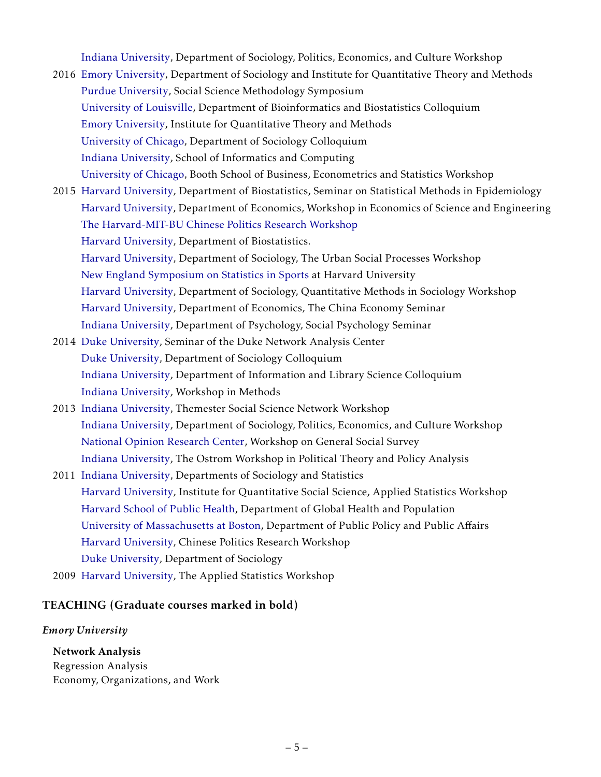[Indiana University,](https://drive.google.com/open?id=0B3uDUenReAI4TVg1R2wwa0RxalE) Department of Sociology, Politics, Economics, and Culture Workshop

- 2016 [Emory University,](https://drive.google.com/open?id=0B3uDUenReAI4YWV0dDNzUXBld2c) Department of Sociology and Institute for Quantitative Theory and Methods [Purdue University,](https://drive.google.com/open?id=0B3uDUenReAI4Smh6bXo2S2Vwc3M) Social Science Methodology Symposium [University of Louisville,](https://drive.google.com/open?id=0B3uDUenReAI4WGdMYmRiY3o0MTg) Department of Bioinformatics and Biostatistics Colloquium [Emory University,](https://drive.google.com/open?id=0B3uDUenReAI4WVV5amZ1SW5lclE) Institute for Quantitative Theory and Methods [University of Chicago,](https://drive.google.com/open?id=0B3uDUenReAI4QVV3UE5hVldsS00) Department of Sociology Colloquium [Indiana University,](https://drive.google.com/open?id=0B3uDUenReAI4NDhnYlFjQ2JNbUU) School of Informatics and Computing [University of Chicago,](https://drive.google.com/open?id=0B3uDUenReAI4REJEd25SR3EyaUU) Booth School of Business, Econometrics and Statistics Workshop
- 2015 [Harvard University,](https://drive.google.com/open?id=0B3uDUenReAI4UUNLdU4wSWJ0cG8) Department of Biostatistics, Seminar on Statistical Methods in Epidemiology [Harvard University,](https://drive.google.com/open?id=0B3uDUenReAI4b0RPZUo0eDktTEU) Department of Economics, Workshop in Economics of Science and Engineering [The Harvard-MIT-BU Chinese Politics Research Workshop](https://drive.google.com/open?id=0B3uDUenReAI4Mm5TUmY5Sy1IdTg) [Harvard University,](https://drive.google.com/open?id=0B3uDUenReAI4VGtfajNIbllJTHc) Department of Biostatistics. [Harvard University,](https://drive.google.com/open?id=0B3uDUenReAI4SHppaVNhSEhkeEE) Department of Sociology, The Urban Social Processes Workshop [New England Symposium on Statistics in Sports](https://drive.google.com/open?id=0B3uDUenReAI4SGRRS084alI3NUk) at Harvard University [Harvard University,](https://drive.google.com/open?id=0B3uDUenReAI4eEgxai1CekQ0UUk) Department of Sociology, Quantitative Methods in Sociology Workshop [Harvard University,](https://drive.google.com/open?id=0B3uDUenReAI4bXlZMHBiRUpFRTA) Department of Economics, The China Economy Seminar [Indiana University,](https://drive.google.com/open?id=0B3uDUenReAI4c3pNYW9PSDJ0dlU) Department of Psychology, Social Psychology Seminar
- 2014 [Duke University,](https://drive.google.com/open?id=0B3uDUenReAI4NEcwbzExanJ4a0E) Seminar of the Duke Network Analysis Center [Duke University,](https://drive.google.com/open?id=0B3uDUenReAI4SUM1NVhMeU12WDQ) Department of Sociology Colloquium [Indiana University,](https://drive.google.com/open?id=0B3uDUenReAI4R1dQR3BjelRNQW8) Department of Information and Library Science Colloquium [Indiana University,](https://drive.google.com/open?id=0B3uDUenReAI4bUprTHFrRVhIS0U) Workshop in Methods
- 2013 [Indiana University,](https://drive.google.com/open?id=0B3uDUenReAI4Wk50SUZERzEwZW8) Themester Social Science Network Workshop [Indiana University,](https://drive.google.com/open?id=0B3uDUenReAI4OHVsZlgxOVFOM28) Department of Sociology, Politics, Economics, and Culture Workshop [National Opinion Research Center,](https://drive.google.com/open?id=0B3uDUenReAI4cXRoTkhXQnVFOTQ) Workshop on General Social Survey [Indiana University,](https://drive.google.com/open?id=0B3uDUenReAI4dkhLVzlsczJiNzQ) The Ostrom Workshop in Political Theory and Policy Analysis
- 2011 [Indiana University,](https://drive.google.com/open?id=0B3uDUenReAI4V0s4UE84UWhvbFU) Departments of Sociology and Statistics [Harvard University,](https://drive.google.com/open?id=0B3uDUenReAI4VkRsbDh3eWZFZDQ) Institute for Quantitative Social Science, Applied Statistics Workshop [Harvard School of Public Health,](https://drive.google.com/open?id=0B3uDUenReAI4U0FZMm83WEJNbkk) Department of Global Health and Population [University of Massachusetts at Boston,](https://drive.google.com/open?id=0B3uDUenReAI4Zmg1YWs3a3lqa1E) Department of Public Policy and Public Affairs [Harvard University,](https://drive.google.com/open?id=0B3uDUenReAI4VGtfajNIbllJTHc) Chinese Politics Research Workshop [Duke University,](https://drive.google.com/open?id=0B3uDUenReAI4czBzcmRZRVlfa2c) Department of Sociology
- 2009 [Harvard University,](https://drive.google.com/open?id=0B3uDUenReAI4ZUxLSjhROUhuWFE) The Applied Statistics Workshop

### TEACHING (Graduate courses marked in bold)

#### *Emory University*

Network Analysis Regression Analysis Economy, Organizations, and Work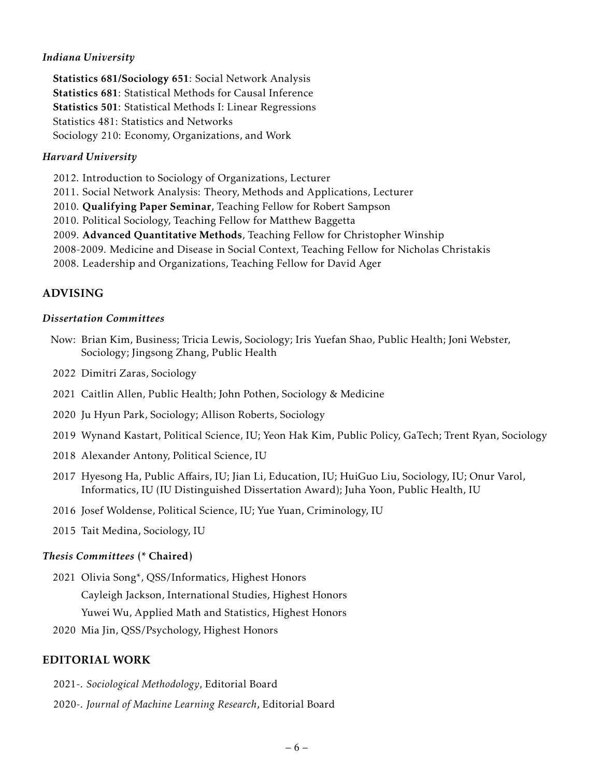### *Indiana University*

Statistics 681/Sociology 651: Social Network Analysis Statistics 681: Statistical Methods for Causal Inference Statistics 501: Statistical Methods I: Linear Regressions Statistics 481: Statistics and Networks Sociology 210: Economy, Organizations, and Work

#### *Harvard University*

2012. Introduction to Sociology of Organizations, Lecturer

2011. Social Network Analysis: Theory, Methods and Applications, Lecturer

2010. Qualifying Paper Seminar, Teaching Fellow for Robert Sampson

2010. Political Sociology, Teaching Fellow for Matthew Baggetta

2009. Advanced Quantitative Methods, Teaching Fellow for Christopher Winship

2008-2009. Medicine and Disease in Social Context, Teaching Fellow for Nicholas Christakis

2008. Leadership and Organizations, Teaching Fellow for David Ager

### ADVISING

#### *Dissertation Committees*

- Now: Brian Kim, Business; Tricia Lewis, Sociology; Iris Yuefan Shao, Public Health; Joni Webster, Sociology; Jingsong Zhang, Public Health
- 2022 Dimitri Zaras, Sociology
- 2021 Caitlin Allen, Public Health; John Pothen, Sociology & Medicine
- 2020 Ju Hyun Park, Sociology; Allison Roberts, Sociology
- 2019 Wynand Kastart, Political Science, IU; Yeon Hak Kim, Public Policy, GaTech; Trent Ryan, Sociology
- 2018 Alexander Antony, Political Science, IU
- 2017 Hyesong Ha, Public Affairs, IU; Jian Li, Education, IU; HuiGuo Liu, Sociology, IU; Onur Varol, Informatics, IU (IU Distinguished Dissertation Award); Juha Yoon, Public Health, IU
- 2016 Josef Woldense, Political Science, IU; Yue Yuan, Criminology, IU
- 2015 Tait Medina, Sociology, IU

#### *Thesis Committees* (\* Chaired)

2021 Olivia Song\*, QSS/Informatics, Highest Honors

Cayleigh Jackson, International Studies, Highest Honors

Yuwei Wu, Applied Math and Statistics, Highest Honors

2020 Mia Jin, QSS/Psychology, Highest Honors

### EDITORIAL WORK

- 2021-. *Sociological Methodology*, Editorial Board
- 2020-. *Journal of Machine Learning Research*, Editorial Board